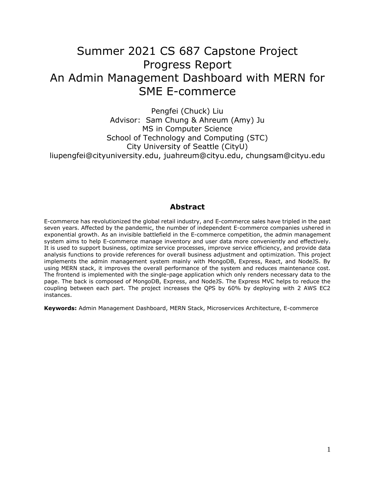# Summer 2021 CS 687 Capstone Project Progress Report An Admin Management Dashboard with MERN for SME E-commerce

Pengfei (Chuck) Liu Advisor: Sam Chung & Ahreum (Amy) Ju MS in Computer Science School of Technology and Computing (STC) City University of Seattle (CityU) liupengfei@cityuniversity.edu, juahreum@cityu.edu, chungsam@cityu.edu

# **Abstract**

E-commerce has revolutionized the global retail industry, and E-commerce sales have tripled in the past seven years. Affected by the pandemic, the number of independent E-commerce companies ushered in exponential growth. As an invisible battlefield in the E-commerce competition, the admin management system aims to help E-commerce manage inventory and user data more conveniently and effectively. It is used to support business, optimize service processes, improve service efficiency, and provide data analysis functions to provide references for overall business adjustment and optimization. This project implements the admin management system mainly with MongoDB, Express, React, and NodeJS. By using MERN stack, it improves the overall performance of the system and reduces maintenance cost. The frontend is implemented with the single-page application which only renders necessary data to the page. The back is composed of MongoDB, Express, and NodeJS. The Express MVC helps to reduce the coupling between each part. The project increases the QPS by 60% by deploying with 2 AWS EC2 instances.

**Keywords:** Admin Management Dashboard, MERN Stack, Microservices Architecture, E-commerce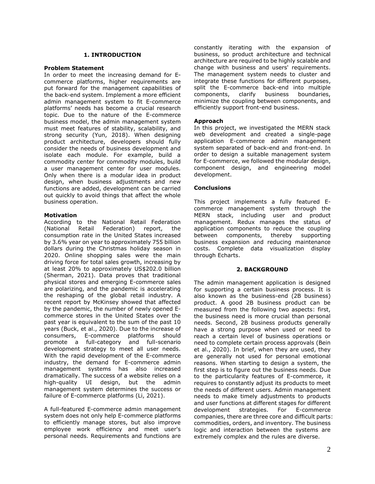### **1. INTRODUCTION**

#### **Problem Statement**

In order to meet the increasing demand for Ecommerce platforms, higher requirements are put forward for the management capabilities of the back-end system. Implement a more efficient admin management system to fit E-commerce platforms' needs has become a crucial research topic. Due to the nature of the E-commerce business model, the admin management system must meet features of stability, scalability, and strong security (Yun, 2018). When designing product architecture, developers should fully consider the needs of business development and isolate each module. For example, build a commodity center for commodity modules, build a user management center for user modules. Only when there is a modular idea in product design, when business adjustments and new functions are added, development can be carried out quickly to avoid things that affect the whole business operation.

### **Motivation**

According to the National Retail Federation (National Retail Federation) report, the consumption rate in the United States increased by 3.6% year on year to approximately 755 billion dollars during the Christmas holiday season in 2020. Online shopping sales were the main driving force for total sales growth, increasing by at least 20% to approximately US\$202.0 billion (Sherman, 2021). Data proves that traditional physical stores and emerging E-commerce sales are polarizing, and the pandemic is accelerating the reshaping of the global retail industry. A recent report by McKinsey showed that affected by the pandemic, the number of newly opened Ecommerce stores in the United States over the past year is equivalent to the sum of the past 10 years (Buck, et al., 2020). Due to the increase of consumers, E-commerce platforms should promote a full-category and full-scenario development strategy to meet all user needs. With the rapid development of the E-commerce industry, the demand for E-commerce admin management systems has also increased dramatically. The success of a website relies on a high-quality UI design, but the admin management system determines the success or failure of E-commerce platforms (Li, 2021).

A full-featured E-commerce admin management system does not only help E-commerce platforms to efficiently manage stores, but also improve employee work efficiency and meet user's personal needs. Requirements and functions are constantly iterating with the expansion of business, so product architecture and technical architecture are required to be highly scalable and change with business and users' requirements. The management system needs to cluster and integrate these functions for different purposes, split the E-commerce back-end into multiple components, clarify business boundaries, minimize the coupling between components, and efficiently support front-end business.

# **Approach**

In this project, we investigated the MERN stack web development and created a single-page application E-commerce admin management system separated of back-end and front-end. In order to design a suitable management system for E-commerce, we followed the modular design, component design, and engineering model development.

# **Conclusions**

This project implements a fully featured Ecommerce management system through the MERN stack, including user and product management. Redux manages the status of application components to reduce the coupling between components, thereby supporting business expansion and reducing maintenance costs. Complete data visualization display through Echarts.

### **2. BACKGROUND**

The admin management application is designed for supporting a certain business process. It is also known as the business-end (2B business) product. A good 2B business product can be measured from the following two aspects: first, the business need is more crucial than personal needs. Second, 2B business products generally have a strong purpose when used or need to reach a certain level of business operations or need to complete certain process approvals (Bein et al., 2020). In brief, when they are used, they are generally not used for personal emotional reasons. When starting to design a system, the first step is to figure out the business needs. Due to the particularity features of E-commerce, it requires to constantly adjust its products to meet the needs of different users. Admin management needs to make timely adjustments to products and user functions at different stages for different development strategies. For E-commerce companies, there are three core and difficult parts: commodities, orders, and inventory. The business logic and interaction between the systems are extremely complex and the rules are diverse.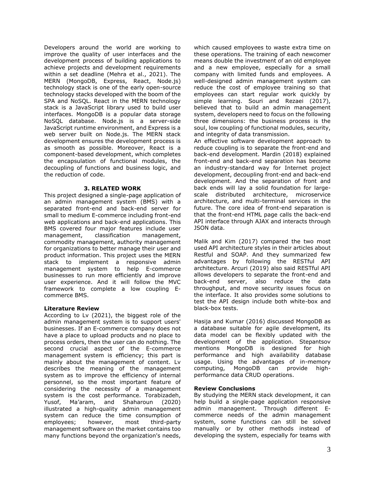Developers around the world are working to improve the quality of user interfaces and the development process of building applications to achieve projects and development requirements within a set deadline (Mehra et al., 2021). The MERN (MongoDB, Express, React, Node.js) technology stack is one of the early open-source technology stacks developed with the boom of the SPA and NoSQL. React in the MERN technology stack is a JavaScript library used to build user interfaces. MongoDB is a popular data storage NoSQL database. Node.js is a server-side JavaScript runtime environment, and Express is a web server built on Node.js. The MERN stack development ensures the development process is as smooth as possible. Moreover, React is a component-based development, which completes the encapsulation of functional modules, the decoupling of functions and business logic, and the reduction of code.

### **3. RELATED WORK**

This project designed a single-page application of an admin management system (BMS) with a separated front-end and back-end server for small to medium E-commerce including front-end web applications and back-end applications. This BMS covered four major features include user management, classification management, commodity management, authority management for organizations to better manage their user and product information. This project uses the MERN stack to implement a responsive admin management system to help E-commerce businesses to run more efficiently and improve user experience. And it will follow the MVC framework to complete a low coupling Ecommerce BMS.

### **Literature Review**

According to Lv (2021), the biggest role of the admin management system is to support users' businesses. If an E-commerce company does not have a place to upload products and no place to process orders, then the user can do nothing. The second crucial aspect of the E-commerce management system is efficiency; this part is mainly about the management of content. Lv describes the meaning of the management system as to improve the efficiency of internal personnel, so the most important feature of considering the necessity of a management system is the cost performance. Torabizadeh, Yusof, Ma'aram, and Shaharoun (2020) illustrated a high-quality admin management system can reduce the time consumption of employees; however, most third-party management software on the market contains too many functions beyond the organization's needs,

which caused employees to waste extra time on these operations. The training of each newcomer means double the investment of an old employee and a new employee, especially for a small company with limited funds and employees. A well-designed admin management system can reduce the cost of employee training so that employees can start regular work quickly by simple learning. Souri and Rezaei (2017), believed that to build an admin management system, developers need to focus on the following three dimensions: the business process is the soul, low coupling of functional modules, security, and integrity of data transmission.

An effective software development approach to reduce coupling is to separate the front-end and back-end development. Mardin (2018) explained front-end and back-end separation has become an industry-standard way for Internet project development, decoupling front-end and back-end development. And the separation of front and back ends will lay a solid foundation for largescale distributed architecture, microservice architecture, and multi-terminal services in the future. The core idea of front-end separation is that the front-end HTML page calls the back-end API interface through AJAX and interacts through JSON data.

Malik and Kim (2017) compared the two most used API architecture styles in their articles about Restful and SOAP. And they summarized few advantages by following the RESTful API architecture. Arcuri (2019) also said RESTful API allows developers to separate the front-end and back-end server, also reduce the data throughput, and move security issues focus on the interface. It also provides some solutions to test the API design include both white-box and black-box tests.

Hasija and Kumar (2016) discussed MongoDB as a database suitable for agile development, its data model can be flexibly updated with the development of the application. Stepantsov mentions MongoDB is designed for high performance and high availability database usage. Using the advantages of in-memory computing, MongoDB can provide highperformance data CRUD operations.

### **Review Conclusions**

By studying the MERN stack development, it can help build a single-page application responsive admin management. Through different Ecommerce needs of the admin management system, some functions can still be solved manually or by other methods instead of developing the system, especially for teams with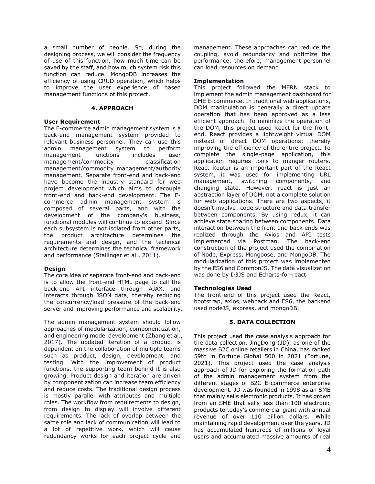a small number of people. So, during the designing process, we will consider the frequency of use of this function, how much time can be saved by the staff, and how much system risk this function can reduce. MongoDB increases the efficiency of using CRUD operation, which helps to improve the user experience of based management functions of this project.

### **4. APPROACH**

#### **User Requirement**

The E-commerce admin management system is a back-end management system provided to relevant business personnel. They can use this admin management system to perform management functions includes user management/commodity classification management/commodity management/authority management. Separate front-end and back-end have become the industry standard for web project development which aims to decouple front-end and back-end development. The Ecommerce admin management system is composed of several parts, and with the development of the company's business, functional modules will continue to expand. Since each subsystem is not isolated from other parts, the product architecture determines the requirements and design, and the technical architecture determines the technical framework and performance (Stallinger et al., 2011).

### **Design**

The core idea of separate front-end and back-end is to allow the front-end HTML page to call the back-end API interface through AJAX, and interacts through JSON data, thereby reducing the concurrency/load pressure of the back-end server and improving performance and scalability.

The admin management system should follow approaches of modularization, componentization, and engineering model development (Zhang et al., 2017). The updated iteration of a product is dependent on the collaboration of multiple teams such as product, design, development, and testing. With the improvement of product functions, the supporting team behind it is also growing. Product design and iteration are driven by componentization can increase team efficiency and reduce costs. The traditional design process is mostly parallel with attributes and multiple roles. The workflow from requirements to design, from design to display will involve different requirements. The lack of overlap between the same role and lack of communication will lead to a lot of repetitive work, which will cause redundancy works for each project cycle and

management. These approaches can reduce the coupling, avoid redundancy and optimize the performance; therefore, management personnel can load resources on demand.

#### **Implementation**

This project followed the MERN stack to implement the admin management dashboard for SME E-commerce. In traditional web applications, DOM manipulation is generally a direct update operation that has been approved as a less efficient approach. To minimize the operation of the DOM, this project used React for the frontend. React provides a lightweight virtual DOM instead of direct DOM operations; thereby improving the efficiency of the entire project. To complete the single-page application, this application requires tools to manger routers. React Router is an important part of the React system, it was used for implementing URL management, switching components, and changing state. However, react is just an abstraction layer of DOM, not a complete solution for web applications. There are two aspects, it doesn't involve: code structure and data transfer between components. By using redux, it can achieve state sharing between components. Data interaction between the front and back ends was realized through the Axios and API tests implemented via Postman. The back-end construction of the project used the combination of Node, Express, Mongoose, and MongoDB. The modularization of this project was implemented by the ES6 and CommonJS. The data visualization was done by D3JS and Echarts-for-react.

### **Technologies Used**

The front-end of this project used the React, bootstrap, axios, webpack and ES6, the backend used nodeJS, express, and mongoDB.

### **5. DATA COLLECTION**

This project used the case analysis approach for the data collection. JingDong (JD), as one of the massive B2C online retailers in China, has ranked 59th in Fortune Global 500 in 2021 (Fortune, 2021). This project used the case analysis approach of JD for exploring the formation path of the admin management system from the different stages of B2C E-commerce enterprise development. JD was founded in 1998 as an SME that mainly sells electronic products. It has grown from an SME that sells less than 100 electronic products to today's commercial giant with annual revenue of over 110 billion dollars. While maintaining rapid development over the years, JD has accumulated hundreds of millions of loyal users and accumulated massive amounts of real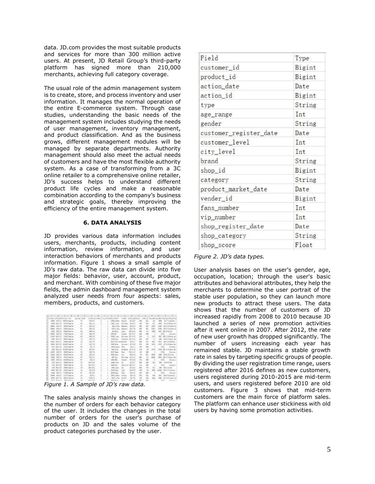data. JD.com provides the most suitable products and services for more than 300 million active users. At present, JD Retail Group's third-party platform has signed more than 210,000 merchants, achieving full category coverage.

The usual role of the admin management system is to create, store, and process inventory and user information. It manages the normal operation of the entire E-commerce system. Through case studies, understanding the basic needs of the management system includes studying the needs of user management, inventory management, and product classification. And as the business grows, different management modules will be managed by separate departments. Authority management should also meet the actual needs of customers and have the most flexible authority system. As a case of transforming from a 3C online retailer to a comprehensive online retailer, JD's success helps to understand different product life cycles and make a reasonable combination according to the company's business and strategic goals, thereby improving the efficiency of the entire management system.

#### **6. DATA ANALYSIS**

JD provides various data information includes users, merchants, products, including content information, review information, and user interaction behaviors of merchants and products information. Figure 1 shows a small sample of JD's raw data. The raw data can divide into five major fields: behavior, user, account, product, and merchant. With combining of these five major fields, the admin dashboard management system analyzed user needs from four aspects: sales, members, products, and customers.

|               |         |                                    | D                        |                  |                 | c                                                | $\frac{1}{2}$ |                 |                |                            |                     |       | D.              |           |         | R.                |                                                          |
|---------------|---------|------------------------------------|--------------------------|------------------|-----------------|--------------------------------------------------|---------------|-----------------|----------------|----------------------------|---------------------|-------|-----------------|-----------|---------|-------------------|----------------------------------------------------------|
|               |         | customer_iaction_dataction_id type |                          | age range gender |                 | customer_recustomer_Deity_level product_id brand |               |                 |                | category                   | product_marishop_id |       |                 |           |         |                   | vender id fans numbering number shop registionog categos |
|               | 976695  | 2018/3/5                           | 10633744 PageView        |                  | 51              | 2017/6/17                                        |               | 378360 LukRook  |                | Bracelet                   | 2017/10/5           | 2999  | 4322            | 1159      | 3696    |                   | 2017/7/4 Jewellery                                       |
|               | 395399  | 2018/3/20                          | 5472020 PageView         |                  | 41              | 3918/1/21                                        |               | 141632 (Illune) |                | <b>Milk Power</b>          | 2015/6/12           | 4703  | 3563            | 2411      | 65803   |                   | 2013-8-8 Nother and                                      |
|               | 1068082 | 3018/4/1                           | 3853455 PageWiew         |                  | 6               | 2012/8/11                                        |               |                 | 5904 Li-Sing   | <b>Badminton</b>           | 2013/8/14           | 8002  | 1457            | 113610    | 157580  |                   | 2013/3/23 Outdoor Sp                                     |
|               | 1068087 | 303/4/1                            | 3853455 PageView         |                  | 6.5             | 2012/8/13                                        |               |                 | 10723 Li-Sing  | Radwicken                  | 2011/2/19           | 8002  | 1457            | 713610    | 157580  |                   | 2013/3/23 Outdoor Sp                                     |
|               | 735392  | 2018/2/6                           | 9434940 PageView         |                  | 6 <sup>2</sup>  | 3009 9 15                                        |               |                 | 4559 Other     | Cookie                     | 2015/11/16          | 6944  | 355             | 63969     | \$5597  | 2014/18/31 Food   |                                                          |
|               | 1093887 | 303/2/4                            | 7774014 PageView         |                  | 51              | 3914/5/28                                        |               | 339554 HP       |                | <b>Sotebook</b>            | 2012/12/21          | 433   | 366             | b.        |         | 0 MIL             | Electronic                                               |
|               |         | 1516193 2018/3/17                  | 2105553 PageView         |                  | 6%              | 2016/3/25                                        |               | 374293 (11mm)   |                | <b>WIR Power</b>           | 2017/12/25          | 1830  | $\overline{25}$ | 11576     | 20927   |                   | 2016/12/16 Nother and                                    |
|               |         | 193903 2016/2/29                   | <b>SEGGIOS Pagellier</b> |                  | 11              | 2015/7/13                                        |               | 235488 Other    |                | Foundation                 | 2017/11/13          | 8636  | 7947            | m         | 4000    |                   | 2016/3/15 Beauty Main                                    |
|               |         | 1556413 2018/3/22                  | 5584645 PageView         |                  | 5%              | 2017/5/31                                        |               |                 |                | 361137 Chow Taise Bracelet | 3868/1/17           | 9003  | 230             | 10015     | 138312  |                   | 2016/11/9 Jewellery                                      |
| $\mathbf{11}$ |         | 690094 2015/3/30                   | 10011062 PageView        |                  | 51              | 2017/2/24                                        |               | M5808 Other     |                | Susserven                  | 2017/4/20           | 5239  | 3399            | 61900     | 131523  |                   | 2017/4/19 Seasty Malo                                    |
|               |         | 41753 3915/3/18                    | 5379614 Pagelliew        |                  | 6 X             | 2017/7/6                                         |               |                 | 134156 Susmana | Phone                      | 3814/7/1            | 7082  | 3666            |           |         | 0 SILL            | Electronic                                               |
|               | 25559   | 2008/4/15                          | 10181503 Papelier        |                  | 57              | 2015/10/5                                        |               | S4152 Prota     |                | Foundation                 | 2017/3/24           | 5708  | 330             | 147779    |         |                   | 787130 2011/11/22 Beauty Mak-                            |
|               | 1432607 | 2018/2/9                           | 1663953 PageView         |                  | 21              | 2010/7/24                                        |               | 301377 Huawei   |                | Phone                      | 2011/11/17          | m     | 366             |           |         | 0 NILL            | Electronic                                               |
|               | 1160556 | 2018/1/4                           | 8914730 PageView         |                  | 63              | 3912/3/11                                        |               | 285165 Other    |                | Cost.                      | 205/5/16            | 744   | 9827            | 19250     | 53606   | 2016/5/16 Clothes |                                                          |
|               | 924540  | 2018/2/3                           | 1507142 PageView         |                  | 61              | 2017/10/1                                        |               | 42687 Olar      |                | Face Crean                 | 2017/1/13           | 6042  | 50              | 649499    | 196624  |                   | 2016/12/21 Beauty Mak                                    |
|               | 319978  | 303/4/4                            | 6452299 PageView         |                  | 6.1             | 2014/1/6                                         |               | 169054 0851     |                | Sotebook                   | 3017/4/19           | 2216  | <b>M66</b>      |           |         | 0 NLL             | Electronic                                               |
|               |         | 77228 2015/4/15                    | 1998900 PaerView         |                  | 51              | 2015/10/21                                       |               | 104400 Linnon   |                | Tea:                       | 2017/9/27           | \$554 | 5946            | 4915      | \$689   | 2016 4 8 Food     |                                                          |
|               |         | 7728 2015/3/30                     | 7084383 Papelliew        |                  | 5 <sup>2</sup>  | 2015/10/21                                       |               | 220460 Sonr     |                | Dicital Car                | 2016/12/27          | 7141  | 366             | n         |         | 0 NLL             | Electronic                                               |
|               |         | 77328 2018/3/30                    | 7084383 Papelliew        |                  | 5 <sup>2</sup>  | 2015/10/21                                       |               |                 | 67642 Lipton   | Ĩéž                        | 3017/12/3           | 9933  | 7776            | 3813      | 8866    | 2016/1/13 Food    |                                                          |
|               |         | 374965 3018/2/26                   | 5670422 PageView         |                  | 21              | 2017/6/26                                        |               | 325543 Opple    |                | Light                      | 2016/9/20           | 5600  | 730             | 58840     | 1185429 |                   | 2015/7/27 Furniture                                      |
|               | 258146  | 308/2/5                            | 6729439 PageView         |                  | $6\,\mathrm{T}$ | 3917/10.6                                        |               | 349709 Apple    |                | Plyone                     | 2015/9/15           | 3074  | 366             | $\theta$  |         | 0 MILL            | Electronic                                               |
|               | 1497969 | 2018/4/7                           | 5112727 PageView         |                  | 51              | 2017/8/1                                         |               |                 | 257682 LukFook | Secklace                   | 2018/1/6            | 5930  | 8142            | 9340      | 30331   |                   | 2006/8/24 Jewellery                                      |
|               | \$45585 | 2018/2/23                          | 3036231 PageView         |                  | 5 8             | 2012/8/21                                        |               |                 | 60510 Li-51ng  | Foothall                   | 3017/5/9            | 1636  | 1790            | 3443      | 83496   |                   | 2017/4/17 Outdoor So.                                    |
| $^{*}$        |         | ESYTIT MAR/A/KE                    | <b>GERRIA Pusallian</b>  |                  | 5.16            | 1001/11/15                                       |               | 15th30 Bu-let   |                | <b>Dunie</b>               | 9811/11/18          | 6342  | 1444            | $\lambda$ |         | A VITT 5          | Blacksmin                                                |

*Figure 1. A Sample of JD's raw data.*

The sales analysis mainly shows the changes in the number of orders for each behavior category of the user. It includes the changes in the total number of orders for the user's purchase of products on JD and the sales volume of the product categories purchased by the user.

| Field                  | Type   |  |  |  |  |
|------------------------|--------|--|--|--|--|
| customer_id            | Bigint |  |  |  |  |
| product_id             | Bigint |  |  |  |  |
| action_date            | Date   |  |  |  |  |
| action_id              | Bigint |  |  |  |  |
| type                   | String |  |  |  |  |
| age_range              | Int    |  |  |  |  |
| gender                 | String |  |  |  |  |
| customer_register_date | Date   |  |  |  |  |
| customer_level         | Int    |  |  |  |  |
| city_level             | Int    |  |  |  |  |
| brand                  | String |  |  |  |  |
| shop_id                | Bigint |  |  |  |  |
| category               | String |  |  |  |  |
| product_market_date    | Date   |  |  |  |  |
| vender_id              | Bigint |  |  |  |  |
| fans_number            | Int    |  |  |  |  |
| vip_number             | Int    |  |  |  |  |
| shop_register_date     | Date   |  |  |  |  |
| shop_category          | String |  |  |  |  |
| shop_score             | Float  |  |  |  |  |

*Figure 2. JD's data types.* 

User analysis bases on the user's gender, age, occupation, location; through the user's basic attributes and behavioral attributes, they help the merchants to determine the user portrait of the stable user population, so they can launch more new products to attract these users. The data shows that the number of customers of JD increased rapidly from 2008 to 2010 because JD launched a series of new promotion activities after it went online in 2007. After 2012, the rate of new user growth has dropped significantly. The number of users increasing each year has remained stable. JD maintains a stable growth rate in sales by targeting specific groups of people. By dividing the user registration time range, users registered after 2016 defines as new customers, users registered during 2010-2015 are mid-term users, and users registered before 2010 are old customers. Figure 3 shows that mid-term customers are the main force of platform sales. The platform can enhance user stickiness with old users by having some promotion activities.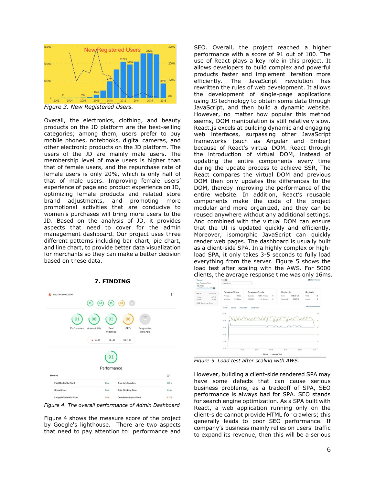

*Figure 3. New Registered Users.* 

Overall, the electronics, clothing, and beauty products on the JD platform are the best-selling categories; among them, users prefer to buy mobile phones, notebooks, digital cameras, and other electronic products on the JD platform. The users of the JD are mainly male users. The membership level of male users is higher than that of female users, and the repurchase rate of female users is only 20%, which is only half of that of male users. Improving female users' experience of page and product experience on JD, optimizing female products and related store brand adjustments, and promoting more promotional activities that are conducive to women's purchases will bring more users to the JD. Based on the analysis of JD, it provides aspects that need to cover for the admin management dashboard. Our project uses three different patterns including bar chart, pie chart, and line chart, to provide better data visualization for merchants so they can make a better decision based on these data.



**7. FINDING**

*Figure 4. The overall performance of Admin Dashboard*

Figure 4 shows the measure score of the project by Google's lighthouse. There are two aspects that need to pay attention to: performance and SEO. Overall, the project reached a higher performance with a score of 91 out of 100. The use of React plays a key role in this project. It allows developers to build complex and powerful products faster and implement iteration more efficiently. The JavaScript revolution has rewritten the rules of web development. It allows the development of single-page applications using JS technology to obtain some data through JavaScript, and then build a dynamic website. However, no matter how popular this method seems, DOM manipulation is still relatively slow. React.js excels at building dynamic and engaging web interfaces, surpassing other JavaScript frameworks (such as Angular and Ember) because of React's virtual DOM. React through the introduction of virtual DOM, instead of updating the entire components every time during the update process to achieve SSR, The React compares the virtual DOM and previous DOM then only updates the differences to the DOM, thereby improving the performance of the entire website. In addition, React's reusable components make the code of the project modular and more organized, and they can be reused anywhere without any additional settings. And combined with the virtual DOM can ensure that the UI is updated quickly and efficiently. Moreover, isomorphic JavaScript can quickly render web pages. The dashboard is usually built as a client-side SPA. In a highly complex or highload SPA, it only takes 3-5 seconds to fully load everything from the server. Figure 5 shows the load test after scaling with the AWS. For 5000 clients, the average response time was only 16ms.



*Figure 5. Load test after scaling with AWS.* 

However, building a client-side rendered SPA may have some defects that can cause serious business problems, as a tradeoff of SPA, SEO performance is always bad for SPA. SEO stands for search engine optimization. As a SPA built with React, a web application running only on the client-side cannot provide HTML for crawlers; this generally leads to poor SEO performance. If company's business mainly relies on users' traffic to expand its revenue, then this will be a serious